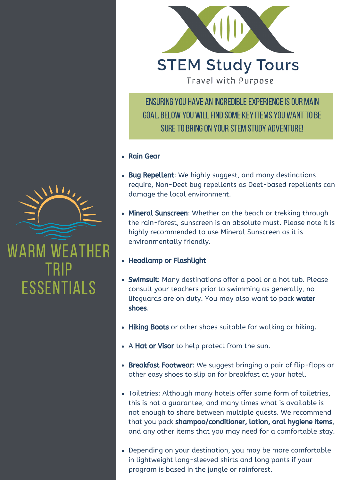

ENSURING YOU HAVE AN INCREDIBLE EXPERIENCE IS OUR MAIN GOAL. BELOW YOU WILL FIND SOME KEY ITEMS YOU WANT TO BE SURE TO BRING ON YOUR STEM STUDY ADVENTURE!

- Rain Gear
- Bug Repellent: We highly suggest, and many destinations require, Non-Deet bug repellents as Deet-based repellents can damage the local environment.
- Mineral Sunscreen: Whether on the beach or trekking through the rain-forest, sunscreen is an absolute must. Please note it is highly recommended to use Mineral Sunscreen as it is environmentally friendly.
- Headlamp or Flashlight
- Swimsuit: Many destinations offer a pool or a hot tub. Please consult your teachers prior to swimming as generally, no lifeguards are on duty. You may also want to pack water shoes.
- Hiking Boots or other shoes suitable for walking or hiking.
- A Hat or Visor to help protect from the sun.
- Breakfast Footwear: We suggest bringing a pair of flip-flops or other easy shoes to slip on for breakfast at your hotel.
- Toiletries: Although many hotels offer some form of toiletries, this is not a guarantee, and many times what is available is not enough to share between multiple guests. We recommend that you pack shampoo/conditioner, lotion, oral hygiene items, and any other items that you may need for a comfortable stay.
- Depending on your destination, you may be more comfortable in lightweight long-sleeved shirts and long pants if your program is based in the jungle or rainforest.